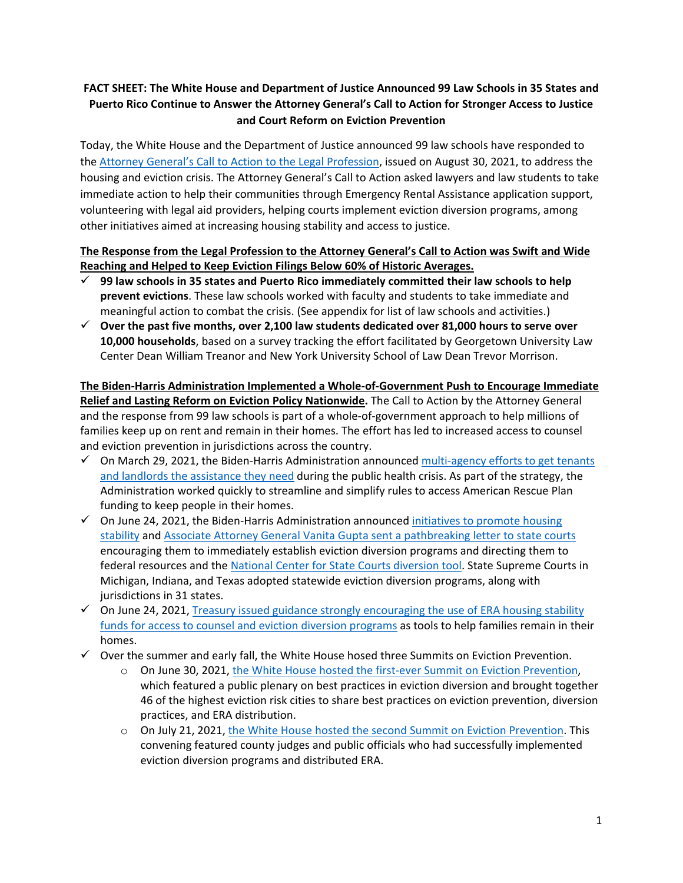## **FACT SHEET: The White House and Department of Justice Announced 99 Law Schools in 35 States and Puerto Rico Continue to Answer the Attorney General's Call to Action for Stronger Access to Justice and Court Reform on Eviction Prevention**

Today, the White House and the Department of Justice announced 99 law schools have responded to the [Attorney General's Call to Action to the Legal Profession,](https://www.justice.gov/ag/page/file/1428626/download) issued on August 30, 2021, to address the housing and eviction crisis. The Attorney General's Call to Action asked lawyers and law students to take immediate action to help their communities through Emergency Rental Assistance application support, volunteering with legal aid providers, helping courts implement eviction diversion programs, among other initiatives aimed at increasing housing stability and access to justice.

## **The Response from the Legal Profession to the Attorney General's Call to Action was Swift and Wide Reaching and Helped to Keep Eviction Filings Below 60% of Historic Averages.**

- **99 law schools in 35 states and Puerto Rico immediately committed their law schools to help prevent evictions**. These law schools worked with faculty and students to take immediate and meaningful action to combat the crisis. (See appendix for list of law schools and activities.)
- **Over the past five months, over 2,100 law students dedicated over 81,000 hours to serve over 10,000 households**, based on a survey tracking the effort facilitated by Georgetown University Law Center Dean William Treanor and New York University School of Law Dean Trevor Morrison.

## **The Biden-Harris Administration Implemented a Whole-of-Government Push to Encourage Immediate Relief and Lasting Reform on Eviction Policy Nationwide.** The Call to Action by the Attorney General and the response from 99 law schools is part of a whole-of-government approach to help millions of families keep up on rent and remain in their homes. The effort has led to increased access to counsel and eviction prevention in jurisdictions across the country.

- $\checkmark$  On March 29, 2021, the Biden-Harris Administration announced multi-agency efforts to get tenants [and landlords the assistance they need](https://www.whitehouse.gov/briefing-room/statements-releases/2021/03/29/fact-sheet-the-biden-harris-administrations-multi-agency-effort-to-support-renters-and-landlords/) during the public health crisis. As part of the strategy, the Administration worked quickly to streamline and simplify rules to access American Rescue Plan funding to keep people in their homes.
- $\checkmark$  On June 24, 2021, the Biden-Harris Administration announced initiatives to promote housing [stability](https://www.whitehouse.gov/briefing-room/statements-releases/2021/06/24/fact-sheet-biden-harris-administration-announces-initiatives-to-promote-housing-stability-by-supporting-vulnerable-tenants-and-preventing-foreclosures/) and [Associate Attorney General Vanita Gupta sent a pathbreaking letter to state courts](https://www.justice.gov/asg/page/file/1405886/download) encouraging them to immediately establish eviction diversion programs and directing them to federal resources and the [National Center for State Courts diversion tool.](https://www.ncsc.org/information-and-resources/improving-access-to-justice/eviction-resources/eviction-diversion-initiative-grant-program) State Supreme Courts in Michigan, Indiana, and Texas adopted statewide eviction diversion programs, along with jurisdictions in 31 states.
- $\checkmark$  On June 24, 2021, Treasury issued guidance strongly encouraging the use of ERA housing stability [funds for access to counsel and eviction diversion programs](https://home.treasury.gov/policy-issues/coronavirus/assistance-for-state-local-and-tribal-governments/emergency-rental-assistance-program/faqs#42) as tools to help families remain in their homes.
- $\checkmark$  Over the summer and early fall, the White House hosed three Summits on Eviction Prevention.
	- o On June 30, 2021, [the White House hosted the first-ever Summit on Eviction Prevention,](https://www.whitehouse.gov/briefing-room/statements-releases/2021/06/30/readout-of-the-white-house-eviction-prevention-summit/)  which featured a public plenary on best practices in eviction diversion and brought together 46 of the highest eviction risk cities to share best practices on eviction prevention, diversion practices, and ERA distribution.
	- o On July 21, 2021[, the White House hosted the second Summit on Eviction Prevention.](https://www.whitehouse.gov/briefing-room/statements-releases/2021/07/21/readout-of-the-second-white-house-eviction-prevention-convening/) This convening featured county judges and public officials who had successfully implemented eviction diversion programs and distributed ERA.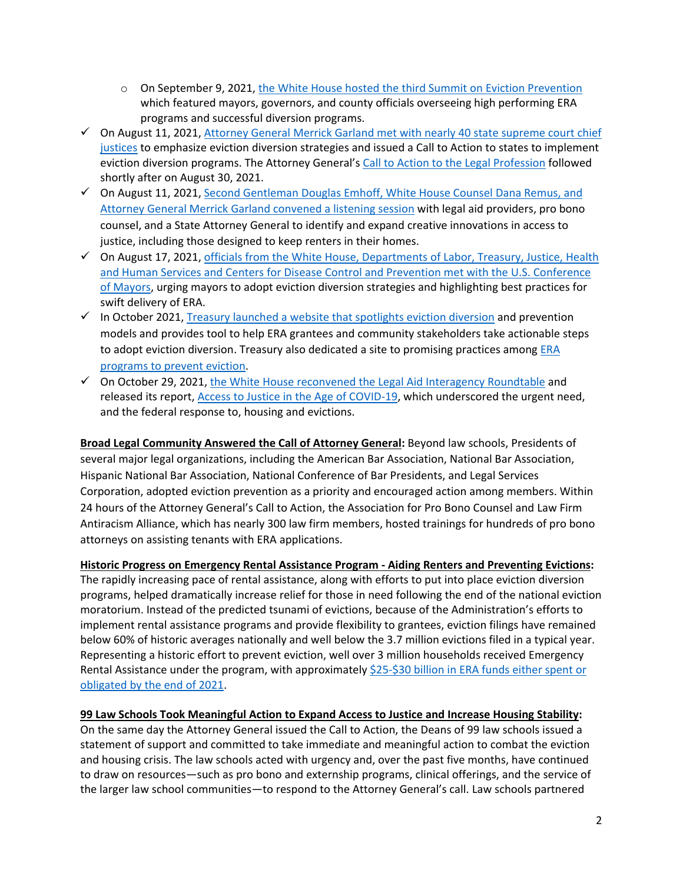- o On September 9, 2021[, the White House hosted the third Summit on Eviction Prevention](https://www.whitehouse.gov/briefing-room/statements-releases/2021/09/09/biden-administration-highlights-high-performers-to-encourage-more-widespread-action-on-delivering-rental-assistance-and-stopping-evictions/) which featured mayors, governors, and county officials overseeing high performing ERA programs and successful diversion programs.
- $\checkmark$  On August 11, 2021, Attorney General Merrick Garland met with nearly 40 state supreme court chief [justices](https://www.justice.gov/opa/pr/readout-attorney-general-merrick-b-garland-and-associate-attorney-general-vanita-guptas) to emphasize eviction diversion strategies and issued a Call to Action to states to implement eviction diversion programs. The Attorney General's [Call to Action to the Legal Profession](https://www.justice.gov/ag/page/file/1428626/download) followed shortly after on August 30, 2021.
- $\checkmark$  On August 11, 2021, [Second Gentleman Douglas Emhoff, White House Counsel](https://www.whitehouse.gov/briefing-room/statements-releases/2021/08/11/readout-of-the-first-listening-session-of-the-white-house-legal-aid-interagency-roundtable/) Dana Remus, and [Attorney General Merrick Garland convened a listening session](https://www.whitehouse.gov/briefing-room/statements-releases/2021/08/11/readout-of-the-first-listening-session-of-the-white-house-legal-aid-interagency-roundtable/) with legal aid providers, pro bono counsel, and a State Attorney General to identify and expand creative innovations in access to justice, including those designed to keep renters in their homes.
- $\checkmark$  On August 17, 2021, officials from the White House, Departments of Labor, Treasury, Justice, Health [and Human Services and Centers for Disease Control and Prevention met with the U.S. Conference](https://www.usmayors.org/2021/08/17/readout-u-s-conference-of-mayors-meets-with-labor-secretary-walsh-cdc-director-walensky-biden-administration-officials-to-discuss-eviction-prevention/)  [of Mayors,](https://www.usmayors.org/2021/08/17/readout-u-s-conference-of-mayors-meets-with-labor-secretary-walsh-cdc-director-walensky-biden-administration-officials-to-discuss-eviction-prevention/) urging mayors to adopt eviction diversion strategies and highlighting best practices for swift delivery of ERA.
- $\checkmark$  In October 2021[, Treasury launched a website that spotlights eviction diversion](https://home.treasury.gov/policy-issues/coronavirus/assistance-for-state-local-and-tribal-governments/emergency-rental-assistance-program/promising-practices/eviction-diversion) and prevention models and provides tool to help ERA grantees and community stakeholders take actionable steps to adopt eviction diversion. Treasury also dedicated a site to promising practices among ERA [programs to prevent eviction.](https://home.treasury.gov/policy-issues/coronavirus/assistance-for-state-local-and-tribal-governments/emergency-rental-assistance-program/promising-practices/eviction-diversion)
- $\checkmark$  On October 29, 2021, [the White House reconvened the Legal Aid Interagency Roundtable](https://www.whitehouse.gov/briefing-room/statements-releases/2021/10/29/the-biden-administration-continues-its-work-to-expand-access-to-justice/) and released its report, [Access to Justice in the Age of COVID-19,](https://www.whitehouse.gov/wp-content/uploads/2021/10/Report-to-the-President-from-the-Attorney-General-September-15-2021.pdf) which underscored the urgent need, and the federal response to, housing and evictions.

**Broad Legal Community Answered the Call of Attorney General:** Beyond law schools, Presidents of several major legal organizations, including the American Bar Association, National Bar Association, Hispanic National Bar Association, National Conference of Bar Presidents, and Legal Services Corporation, adopted eviction prevention as a priority and encouraged action among members. Within 24 hours of the Attorney General's Call to Action, the Association for Pro Bono Counsel and Law Firm Antiracism Alliance, which has nearly 300 law firm members, hosted trainings for hundreds of pro bono attorneys on assisting tenants with ERA applications.

## **Historic Progress on Emergency Rental Assistance Program - Aiding Renters and Preventing Evictions:**

The rapidly increasing pace of rental assistance, along with efforts to put into place eviction diversion programs, helped dramatically increase relief for those in need following the end of the national eviction moratorium. Instead of the predicted tsunami of evictions, because of the Administration's efforts to implement rental assistance programs and provide flexibility to grantees, eviction filings have remained below 60% of historic averages nationally and well below the 3.7 million evictions filed in a typical year. Representing a historic effort to prevent eviction, well over 3 million households received Emergency Rental Assistance under the program, with approximately \$25-\$30 billion in ERA funds either spent or [obligated by the end of 2021.](https://home.treasury.gov/news/press-releases/jy0551)

## **99 Law Schools Took Meaningful Action to Expand Access to Justice and Increase Housing Stability:**

On the same day the Attorney General issued the Call to Action, the Deans of 99 law schools issued a statement of support and committed to take immediate and meaningful action to combat the eviction and housing crisis. The law schools acted with urgency and, over the past five months, have continued to draw on resources—such as pro bono and externship programs, clinical offerings, and the service of the larger law school communities—to respond to the Attorney General's call. Law schools partnered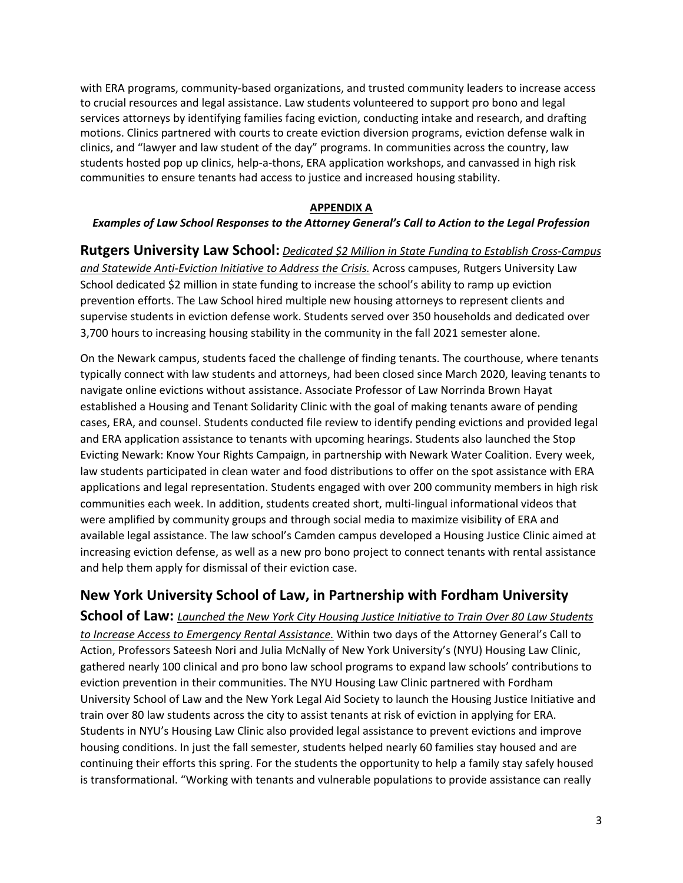with ERA programs, community-based organizations, and trusted community leaders to increase access to crucial resources and legal assistance. Law students volunteered to support pro bono and legal services attorneys by identifying families facing eviction, conducting intake and research, and drafting motions. Clinics partnered with courts to create eviction diversion programs, eviction defense walk in clinics, and "lawyer and law student of the day" programs. In communities across the country, law students hosted pop up clinics, help-a-thons, ERA application workshops, and canvassed in high risk communities to ensure tenants had access to justice and increased housing stability.

#### **APPENDIX A**

#### *Examples of Law School Responses to the Attorney General's Call to Action to the Legal Profession*

**Rutgers University Law School:** *Dedicated \$2 Million in State Funding to Establish Cross-Campus and Statewide Anti-Eviction Initiative to Address the Crisis.* Across campuses, Rutgers University Law School dedicated \$2 million in state funding to increase the school's ability to ramp up eviction prevention efforts. The Law School hired multiple new housing attorneys to represent clients and supervise students in eviction defense work. Students served over 350 households and dedicated over 3,700 hours to increasing housing stability in the community in the fall 2021 semester alone.

On the Newark campus, students faced the challenge of finding tenants. The courthouse, where tenants typically connect with law students and attorneys, had been closed since March 2020, leaving tenants to navigate online evictions without assistance. Associate Professor of Law Norrinda Brown Hayat established a Housing and Tenant Solidarity Clinic with the goal of making tenants aware of pending cases, ERA, and counsel. Students conducted file review to identify pending evictions and provided legal and ERA application assistance to tenants with upcoming hearings. Students also launched the Stop Evicting Newark: Know Your Rights Campaign, in partnership with Newark Water Coalition. Every week, law students participated in clean water and food distributions to offer on the spot assistance with ERA applications and legal representation. Students engaged with over 200 community members in high risk communities each week. In addition, students created short, multi-lingual informational videos that were amplified by community groups and through social media to maximize visibility of ERA and available legal assistance. The law school's Camden campus developed a Housing Justice Clinic aimed at increasing eviction defense, as well as a new pro bono project to connect tenants with rental assistance and help them apply for dismissal of their eviction case.

# **New York University School of Law, in Partnership with Fordham University**

**School of Law:** *Launched the New York City Housing Justice Initiative to Train Over 80 Law Students to Increase Access to Emergency Rental Assistance.* Within two days of the Attorney General's Call to Action, Professors Sateesh Nori and Julia McNally of New York University's (NYU) Housing Law Clinic, gathered nearly 100 clinical and pro bono law school programs to expand law schools' contributions to eviction prevention in their communities. The NYU Housing Law Clinic partnered with Fordham University School of Law and the New York Legal Aid Society to launch the Housing Justice Initiative and train over 80 law students across the city to assist tenants at risk of eviction in applying for ERA. Students in NYU's Housing Law Clinic also provided legal assistance to prevent evictions and improve housing conditions. In just the fall semester, students helped nearly 60 families stay housed and are continuing their efforts this spring. For the students the opportunity to help a family stay safely housed is transformational. "Working with tenants and vulnerable populations to provide assistance can really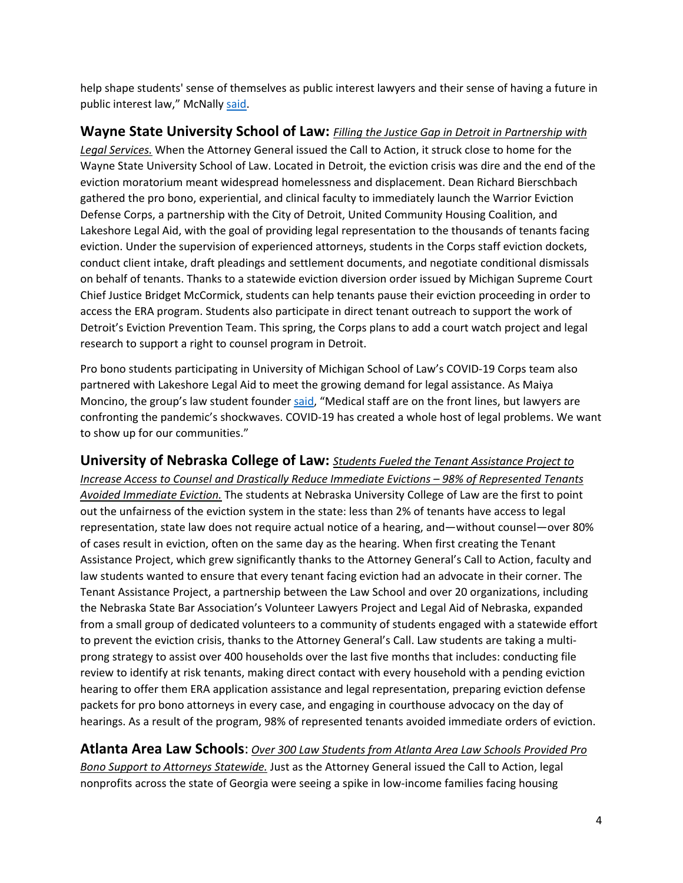help shape students' sense of themselves as public interest lawyers and their sense of having a future in public interest law," McNally [said.](https://www.reuters.com/legal/government/law-schools-are-answering-justice-departments-call-eviction-help-2021-09-02/)

# **Wayne State University School of Law:** *Filling the Justice Gap in Detroit in Partnership with*

*Legal Services.* When the Attorney General issued the Call to Action, it struck close to home for the Wayne State University School of Law. Located in Detroit, the eviction crisis was dire and the end of the eviction moratorium meant widespread homelessness and displacement. Dean Richard Bierschbach gathered the pro bono, experiential, and clinical faculty to immediately launch the Warrior Eviction Defense Corps, a partnership with the City of Detroit, United Community Housing Coalition, and Lakeshore Legal Aid, with the goal of providing legal representation to the thousands of tenants facing eviction. Under the supervision of experienced attorneys, students in the Corps staff eviction dockets, conduct client intake, draft pleadings and settlement documents, and negotiate conditional dismissals on behalf of tenants. Thanks to a statewide eviction diversion order issued by Michigan Supreme Court Chief Justice Bridget McCormick, students can help tenants pause their eviction proceeding in order to access the ERA program. Students also participate in direct tenant outreach to support the work of Detroit's Eviction Prevention Team. This spring, the Corps plans to add a court watch project and legal research to support a right to counsel program in Detroit.

Pro bono students participating in University of Michigan School of Law's COVID-19 Corps team also partnered with Lakeshore Legal Aid to meet the growing demand for legal assistance. As Maiya Moncino, the group's law student founde[r said,](https://www.mlive.com/news/ann-arbor/2020/05/university-of-michigan-law-students-offer-free-legal-help-during-coronavirus-pandemic.html) "Medical staff are on the front lines, but lawyers are confronting the pandemic's shockwaves. COVID-19 has created a whole host of legal problems. We want to show up for our communities."

## **University of Nebraska College of Law:** *Students Fueled the Tenant Assistance Project to*

*Increase Access to Counsel and Drastically Reduce Immediate Evictions – 98% of Represented Tenants Avoided Immediate Eviction.* The students at Nebraska University College of Law are the first to point out the unfairness of the eviction system in the state: less than 2% of tenants have access to legal representation, state law does not require actual notice of a hearing, and—without counsel—over 80% of cases result in eviction, often on the same day as the hearing. When first creating the Tenant Assistance Project, which grew significantly thanks to the Attorney General's Call to Action, faculty and law students wanted to ensure that every tenant facing eviction had an advocate in their corner. The Tenant Assistance Project, a partnership between the Law School and over 20 organizations, including the Nebraska State Bar Association's Volunteer Lawyers Project and Legal Aid of Nebraska, expanded from a small group of dedicated volunteers to a community of students engaged with a statewide effort to prevent the eviction crisis, thanks to the Attorney General's Call. Law students are taking a multiprong strategy to assist over 400 households over the last five months that includes: conducting file review to identify at risk tenants, making direct contact with every household with a pending eviction hearing to offer them ERA application assistance and legal representation, preparing eviction defense packets for pro bono attorneys in every case, and engaging in courthouse advocacy on the day of hearings. As a result of the program, 98% of represented tenants avoided immediate orders of eviction.

## **Atlanta Area Law Schools**: *Over 300 Law Students from Atlanta Area Law Schools Provided Pro*

*Bono Support to Attorneys Statewide.* Just as the Attorney General issued the Call to Action, legal nonprofits across the state of Georgia were seeing a spike in low-income families facing housing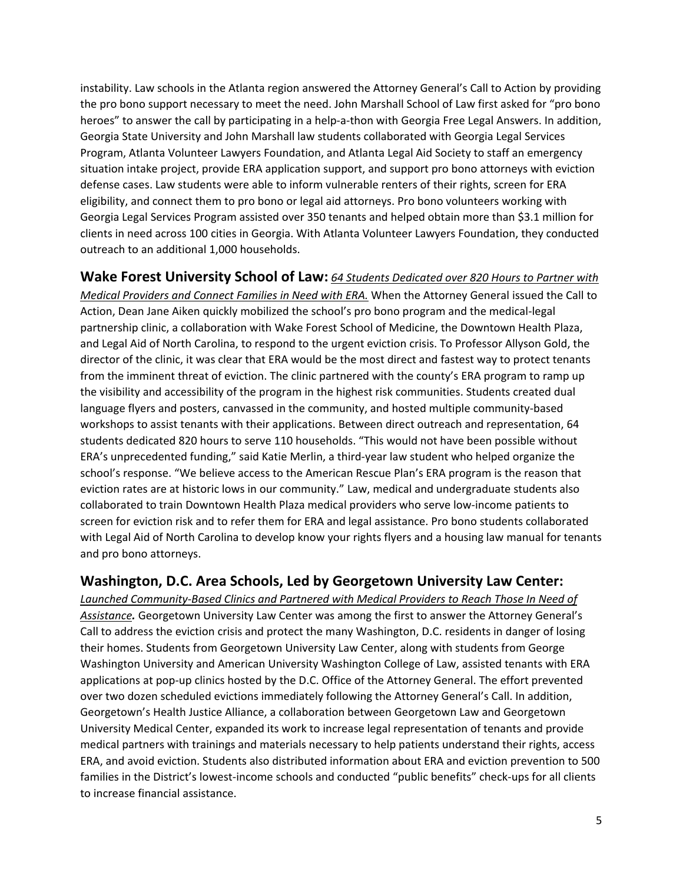instability. Law schools in the Atlanta region answered the Attorney General's Call to Action by providing the pro bono support necessary to meet the need. John Marshall School of Law first asked for "pro bono heroes" to answer the call by participating in a help-a-thon with Georgia Free Legal Answers. In addition, Georgia State University and John Marshall law students collaborated with Georgia Legal Services Program, Atlanta Volunteer Lawyers Foundation, and Atlanta Legal Aid Society to staff an emergency situation intake project, provide ERA application support, and support pro bono attorneys with eviction defense cases. Law students were able to inform vulnerable renters of their rights, screen for ERA eligibility, and connect them to pro bono or legal aid attorneys. Pro bono volunteers working with Georgia Legal Services Program assisted over 350 tenants and helped obtain more than \$3.1 million for clients in need across 100 cities in Georgia. With Atlanta Volunteer Lawyers Foundation, they conducted outreach to an additional 1,000 households.

## **Wake Forest University School of Law:** *64 Students Dedicated over 820 Hours to Partner with*

*Medical Providers and Connect Families in Need with ERA.* When the Attorney General issued the Call to Action, Dean Jane Aiken quickly mobilized the school's pro bono program and the medical-legal partnership clinic, a collaboration with Wake Forest School of Medicine, the Downtown Health Plaza, and Legal Aid of North Carolina, to respond to the urgent eviction crisis. To Professor Allyson Gold, the director of the clinic, it was clear that ERA would be the most direct and fastest way to protect tenants from the imminent threat of eviction. The clinic partnered with the county's ERA program to ramp up the visibility and accessibility of the program in the highest risk communities. Students created dual language flyers and posters, canvassed in the community, and hosted multiple community-based workshops to assist tenants with their applications. Between direct outreach and representation, 64 students dedicated 820 hours to serve 110 households. "This would not have been possible without ERA's unprecedented funding," said Katie Merlin, a third-year law student who helped organize the school's response. "We believe access to the American Rescue Plan's ERA program is the reason that eviction rates are at historic lows in our community." Law, medical and undergraduate students also collaborated to train Downtown Health Plaza medical providers who serve low-income patients to screen for eviction risk and to refer them for ERA and legal assistance. Pro bono students collaborated with Legal Aid of North Carolina to develop know your rights flyers and a housing law manual for tenants and pro bono attorneys.

# **Washington, D.C. Area Schools, Led by Georgetown University Law Center:**

*Launched Community-Based Clinics and Partnered with Medical Providers to Reach Those In Need of Assistance.* Georgetown University Law Center was among the first to answer the Attorney General's Call to address the eviction crisis and protect the many Washington, D.C. residents in danger of losing their homes. Students from Georgetown University Law Center, along with students from George Washington University and American University Washington College of Law, assisted tenants with ERA applications at pop-up clinics hosted by the D.C. Office of the Attorney General. The effort prevented over two dozen scheduled evictions immediately following the Attorney General's Call. In addition, Georgetown's Health Justice Alliance, a collaboration between Georgetown Law and Georgetown University Medical Center, expanded its work to increase legal representation of tenants and provide medical partners with trainings and materials necessary to help patients understand their rights, access ERA, and avoid eviction. Students also distributed information about ERA and eviction prevention to 500 families in the District's lowest-income schools and conducted "public benefits" check-ups for all clients to increase financial assistance.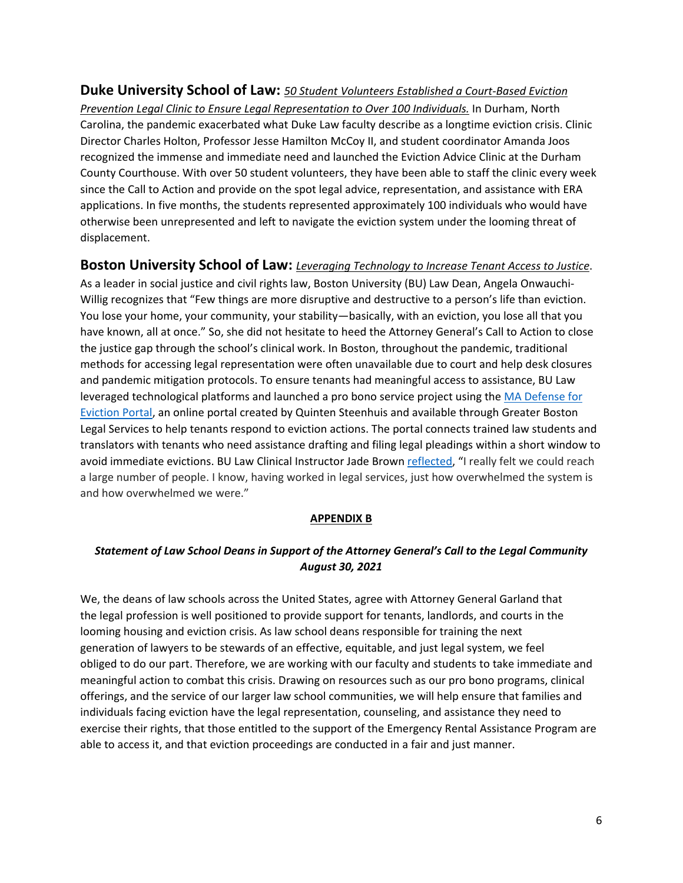## **Duke University School of Law:** *50 Student Volunteers Established a Court-Based Eviction*

*Prevention Legal Clinic to Ensure Legal Representation to Over 100 Individuals.* In Durham, North Carolina, the pandemic exacerbated what Duke Law faculty describe as a longtime eviction crisis. Clinic Director Charles Holton, Professor Jesse Hamilton McCoy II, and student coordinator Amanda Joos recognized the immense and immediate need and launched the Eviction Advice Clinic at the Durham County Courthouse. With over 50 student volunteers, they have been able to staff the clinic every week since the Call to Action and provide on the spot legal advice, representation, and assistance with ERA applications. In five months, the students represented approximately 100 individuals who would have otherwise been unrepresented and left to navigate the eviction system under the looming threat of displacement.

## **Boston University School of Law:** *Leveraging Technology to Increase Tenant Access to Justice*.

As a leader in social justice and civil rights law, Boston University (BU) Law Dean, Angela Onwauchi-Willig recognizes that "Few things are more disruptive and destructive to a person's life than eviction. You lose your home, your community, your stability—basically, with an eviction, you lose all that you have known, all at once." So, she did not hesitate to heed the Attorney General's Call to Action to close the justice gap through the school's clinical work. In Boston, throughout the pandemic, traditional methods for accessing legal representation were often unavailable due to court and help desk closures and pandemic mitigation protocols. To ensure tenants had meaningful access to assistance, BU Law leveraged technological platforms and launched a pro bono service project using the [MA Defense for](https://www.gbls.org/MADE)  [Eviction Portal,](https://www.gbls.org/MADE) an online portal created by Quinten Steenhuis and available through Greater Boston Legal Services to help tenants respond to eviction actions. The portal connects trained law students and translators with tenants who need assistance drafting and filing legal pleadings within a short window to avoid immediate evictions. BU Law Clinical Instructor Jade Brown [reflected,](https://www.bu.edu/law/record/articles/2021/eviction-crisis/) "I really felt we could reach a large number of people. I know, having worked in legal services, just how overwhelmed the system is and how overwhelmed we were."

#### **APPENDIX B**

## *Statement of Law School Deans in Support of the Attorney General's Call to the Legal Community August 30, 2021*

We, the deans of law schools across the United States, agree with Attorney General Garland that the legal profession is well positioned to provide support for tenants, landlords, and courts in the looming housing and eviction crisis. As law school deans responsible for training the next generation of lawyers to be stewards of an effective, equitable, and just legal system, we feel obliged to do our part. Therefore, we are working with our faculty and students to take immediate and meaningful action to combat this crisis. Drawing on resources such as our pro bono programs, clinical offerings, and the service of our larger law school communities, we will help ensure that families and individuals facing eviction have the legal representation, counseling, and assistance they need to exercise their rights, that those entitled to the support of the Emergency Rental Assistance Program are able to access it, and that eviction proceedings are conducted in a fair and just manner.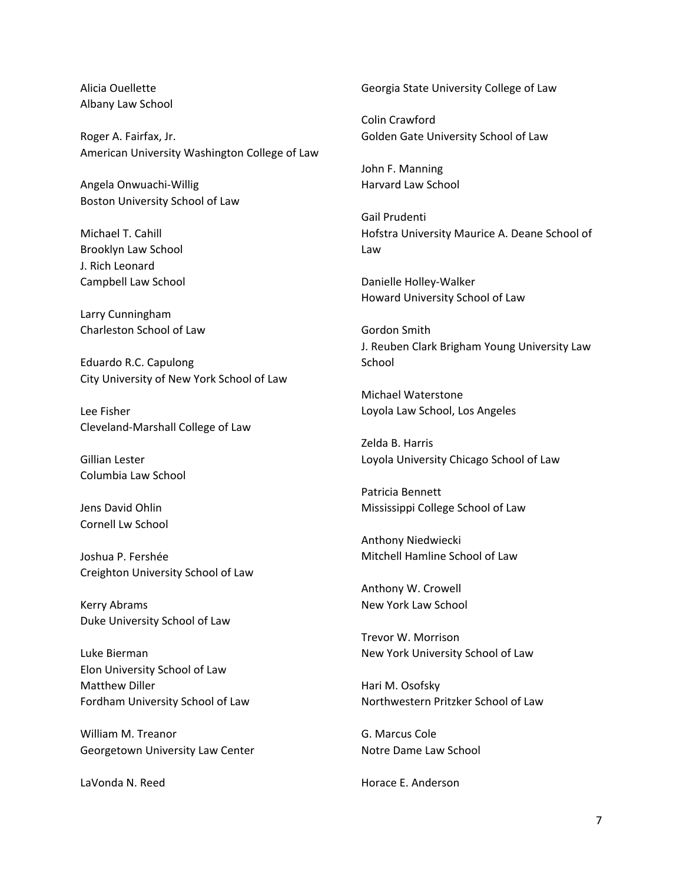Alicia Ouellette Albany Law School

Roger A. Fairfax, Jr. American University Washington College of Law

Angela Onwuachi-Willig Boston University School of Law

Michael T. Cahill Brooklyn Law School J. Rich Leonard Campbell Law School

Larry Cunningham Charleston School of Law

Eduardo R.C. Capulong City University of New York School of Law

Lee Fisher Cleveland-Marshall College of Law

Gillian Lester Columbia Law School

Jens David Ohlin Cornell Lw School

Joshua P. Fershée Creighton University School of Law

Kerry Abrams Duke University School of Law

Luke Bierman Elon University School of Law Matthew Diller Fordham University School of Law

William M. Treanor Georgetown University Law Center

LaVonda N. Reed

Georgia State University College of Law

Colin Crawford Golden Gate University School of Law

John F. Manning Harvard Law School

Gail Prudenti Hofstra University Maurice A. Deane School of Law

Danielle Holley-Walker Howard University School of Law

Gordon Smith J. Reuben Clark Brigham Young University Law School

Michael Waterstone Loyola Law School, Los Angeles

Zelda B. Harris Loyola University Chicago School of Law

Patricia Bennett Mississippi College School of Law

Anthony Niedwiecki Mitchell Hamline School of Law

Anthony W. Crowell New York Law School

Trevor W. Morrison New York University School of Law

Hari M. Osofsky Northwestern Pritzker School of Law

G. Marcus Cole Notre Dame Law School

Horace E. Anderson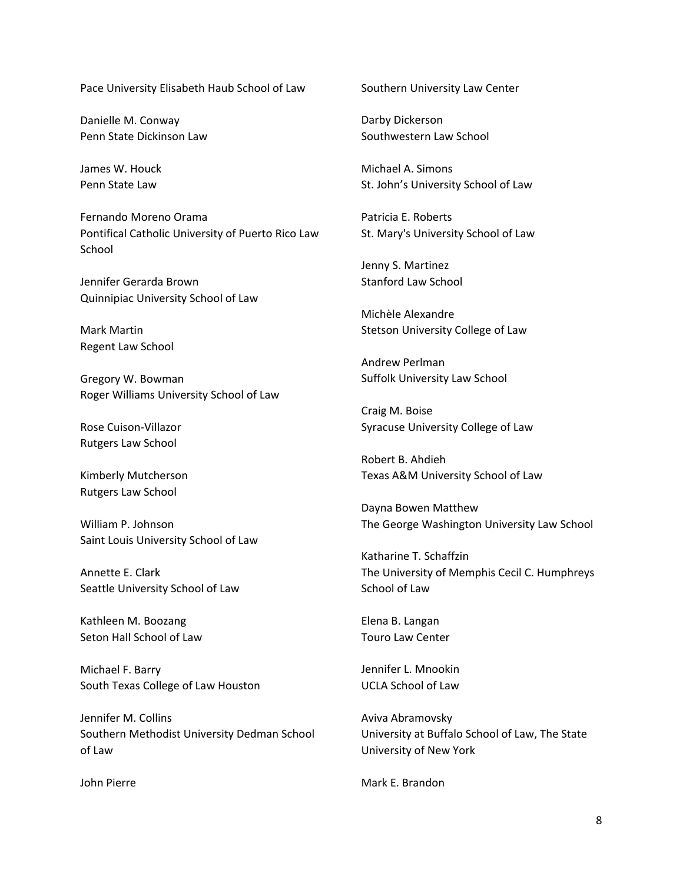Pace University Elisabeth Haub School of Law

Danielle M. Conway Penn State Dickinson Law

James W. Houck Penn State Law

Fernando Moreno Orama Pontifical Catholic University of Puerto Rico Law **School** 

Jennifer Gerarda Brown Quinnipiac University School of Law

Mark Martin Regent Law School

Gregory W. Bowman Roger Williams University School of Law

Rose Cuison-Villazor Rutgers Law School

Kimberly Mutcherson Rutgers Law School

William P. Johnson Saint Louis University School of Law

Annette E. Clark Seattle University School of Law

Kathleen M. Boozang Seton Hall School of Law

Michael F. Barry South Texas College of Law Houston

Jennifer M. Collins Southern Methodist University Dedman School of Law

John Pierre

Southern University Law Center

Darby Dickerson Southwestern Law School

Michael A. Simons St. John's University School of Law

Patricia E. Roberts St. Mary's University School of Law

Jenny S. Martinez Stanford Law School

Michèle Alexandre Stetson University College of Law

Andrew Perlman Suffolk University Law School

Craig M. Boise Syracuse University College of Law

Robert B. Ahdieh Texas A&M University School of Law

Dayna Bowen Matthew The George Washington University Law School

Katharine T. Schaffzin The University of Memphis Cecil C. Humphreys School of Law

Elena B. Langan Touro Law Center

Jennifer L. Mnookin UCLA School of Law

Aviva Abramovsky University at Buffalo School of Law, The State University of New York

Mark E. Brandon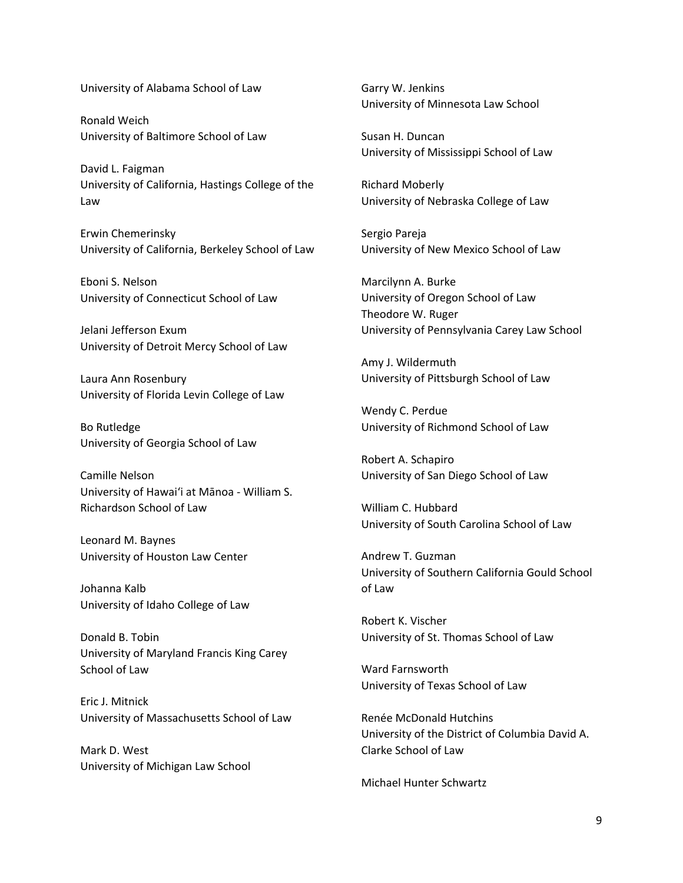University of Alabama School of Law

Ronald Weich University of Baltimore School of Law

David L. Faigman University of California, Hastings College of the Law

Erwin Chemerinsky University of California, Berkeley School of Law

Eboni S. Nelson University of Connecticut School of Law

Jelani Jefferson Exum University of Detroit Mercy School of Law

Laura Ann Rosenbury University of Florida Levin College of Law

Bo Rutledge University of Georgia School of Law

Camille Nelson University of Hawai'i at Mānoa - William S. Richardson School of Law

Leonard M. Baynes University of Houston Law Center

Johanna Kalb University of Idaho College of Law

Donald B. Tobin University of Maryland Francis King Carey School of Law

Eric J. Mitnick University of Massachusetts School of Law

Mark D. West University of Michigan Law School Garry W. Jenkins University of Minnesota Law School

Susan H. Duncan University of Mississippi School of Law

Richard Moberly University of Nebraska College of Law

Sergio Pareja University of New Mexico School of Law

Marcilynn A. Burke University of Oregon School of Law Theodore W. Ruger University of Pennsylvania Carey Law School

Amy J. Wildermuth University of Pittsburgh School of Law

Wendy C. Perdue University of Richmond School of Law

Robert A. Schapiro University of San Diego School of Law

William C. Hubbard University of South Carolina School of Law

Andrew T. Guzman University of Southern California Gould School of Law

Robert K. Vischer University of St. Thomas School of Law

Ward Farnsworth University of Texas School of Law

Renée McDonald Hutchins University of the District of Columbia David A. Clarke School of Law

Michael Hunter Schwartz